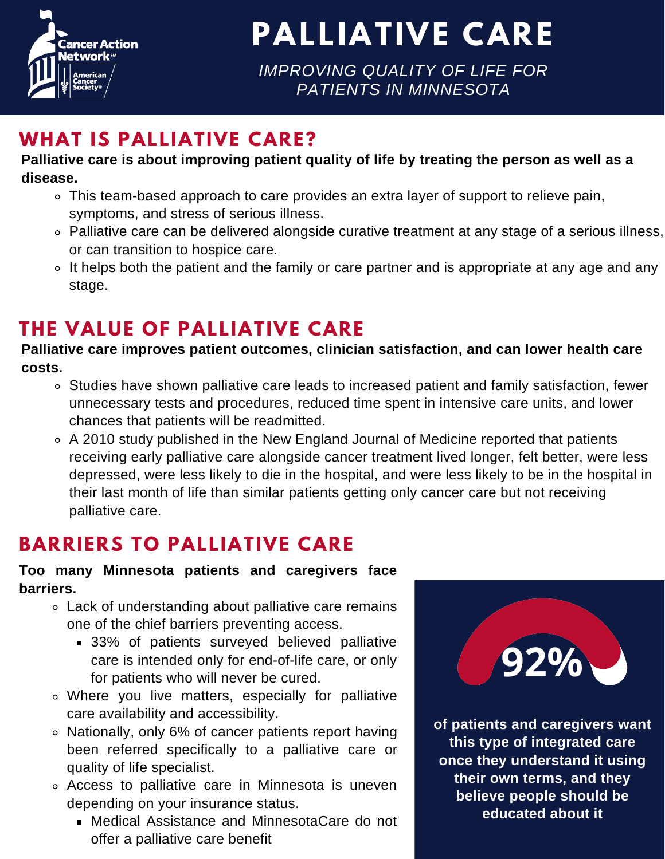

**PALLIATIVE CARE**

*IMPROVING QUALITY OF LIFE FOR PATIENTS IN MINNESOTA*

### **WHAT IS PALLIATIVE CARE?**

#### **Palliative care is about improving patient quality of life by treating the person as well as a disease.**

- This team-based approach to care provides an extra layer of support to relieve pain, symptoms, and stress of serious illness.
- Palliative care can be delivered alongside curative treatment at any stage of a serious illness, or can transition to hospice care.
- o It helps both the patient and the family or care partner and is appropriate at any age and any stage.

## **THE VALUE OF PALLIATIVE CARE**

**Palliative care improves patient outcomes, clinician satisfaction, and can lower health care costs.**

- **point** in interiory out of anno, and to Studies have shown palliative care leads to increased patient and family satisfaction, fewer unnecessary tests and procedures, reduced time spent in intensive care units, and lower chances that patients will be readmitted.
- **biomarkers** A 2010 study published in the New England Journal of Medicine reported that patients receiving early palliative care alongside cancer treatment lived longer, felt better, were less depressed, were less likely to die in the hospital, and were less likely to be in the hospital in their last month of life than similar patients getting only cancer care but not receiving palliative care.

# **BARRIERS TO PALLIATIVE CARE**

#### **Too many Minnesota patients and caregivers face barriers.**

- mains<br><sup>B</sup>otive Lack of understanding about palliative care remains one of the chief barriers preventing access.
	- **33%** of patients surveyed believed palliative care is intended only for end-of-life care, or only for patients who will never be cured.
- Where you live matters, especially for palliative care availability and accessibility.
- **of oncology drugs launched in the** quality of life specialist. Nationally, only 6% of cancer patients report having been referred specifically to a palliative care or
- *c* Access to palliative care in Minnesota is uneven **biomarker testing prior to use** depending on your insurance status.
	- Medical Assistance and MinnesotaCare do not offer a palliative care benefit



**of patients and caregivers want this type of integrated care once they understand it using their own terms, and they believe people should be educated about it**